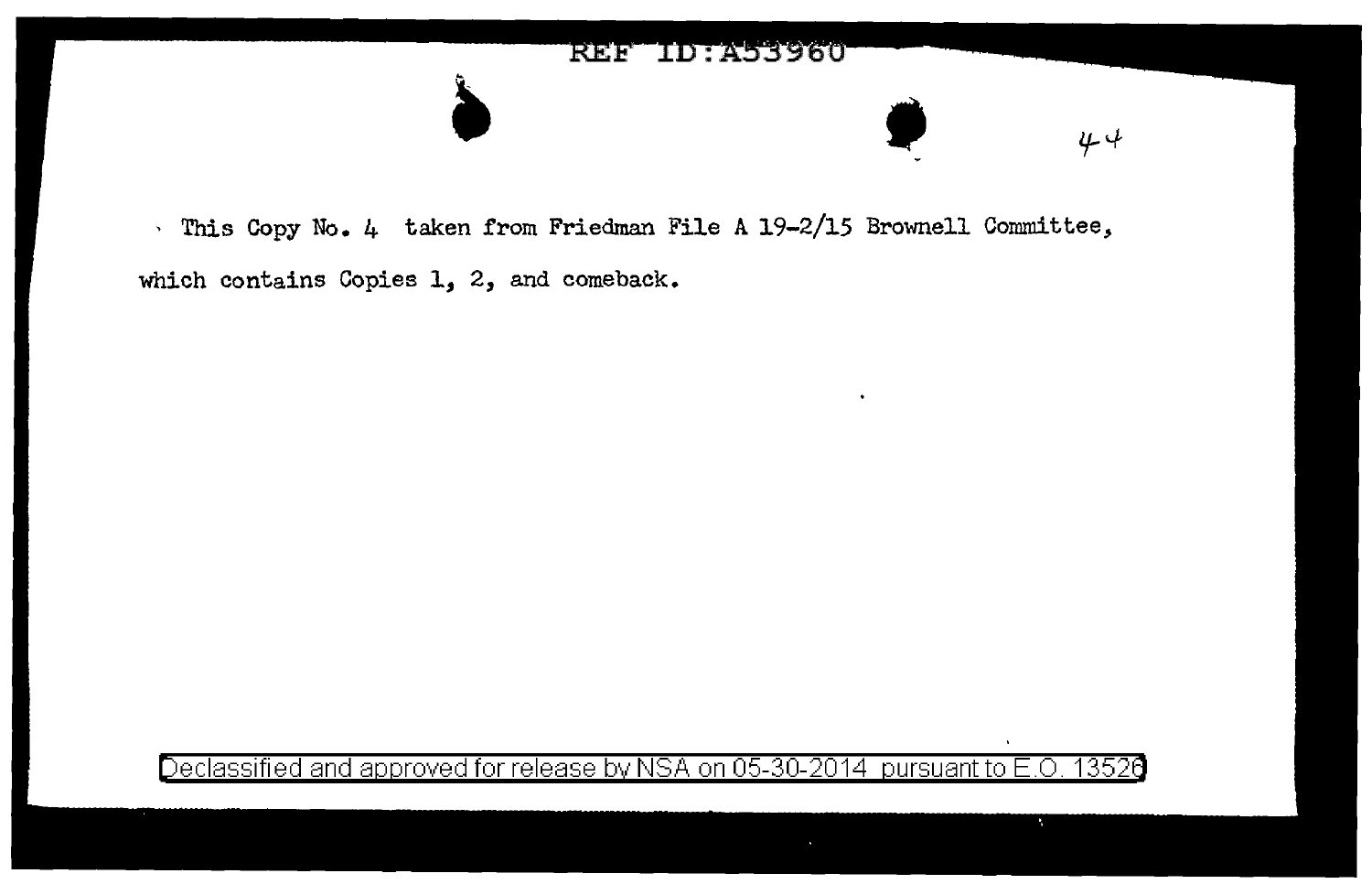

which contains Copies 1, 2, and comeback.

Declassified and approved for release by NSA on 05-30-2014 pursuant to E.O. 13526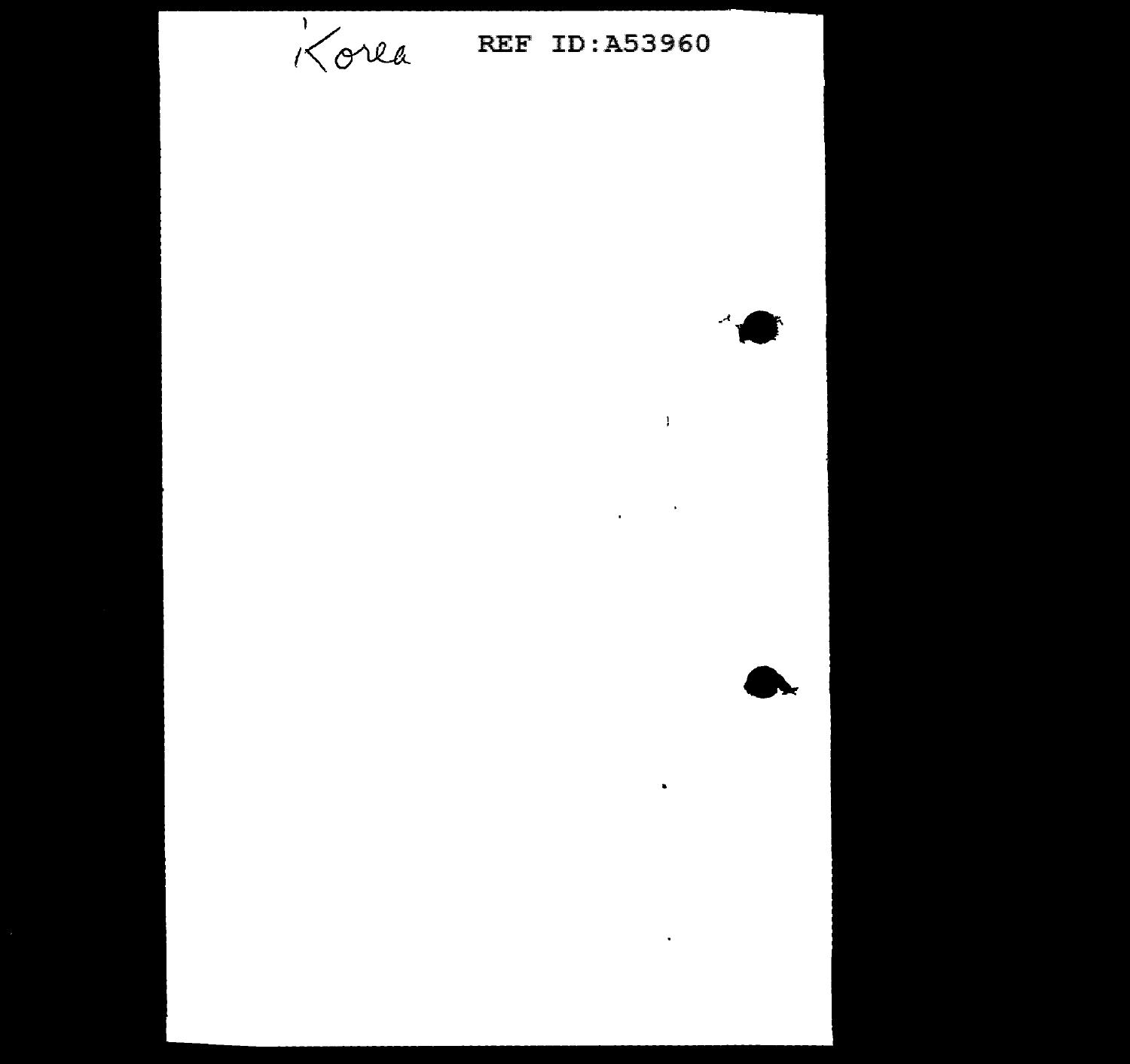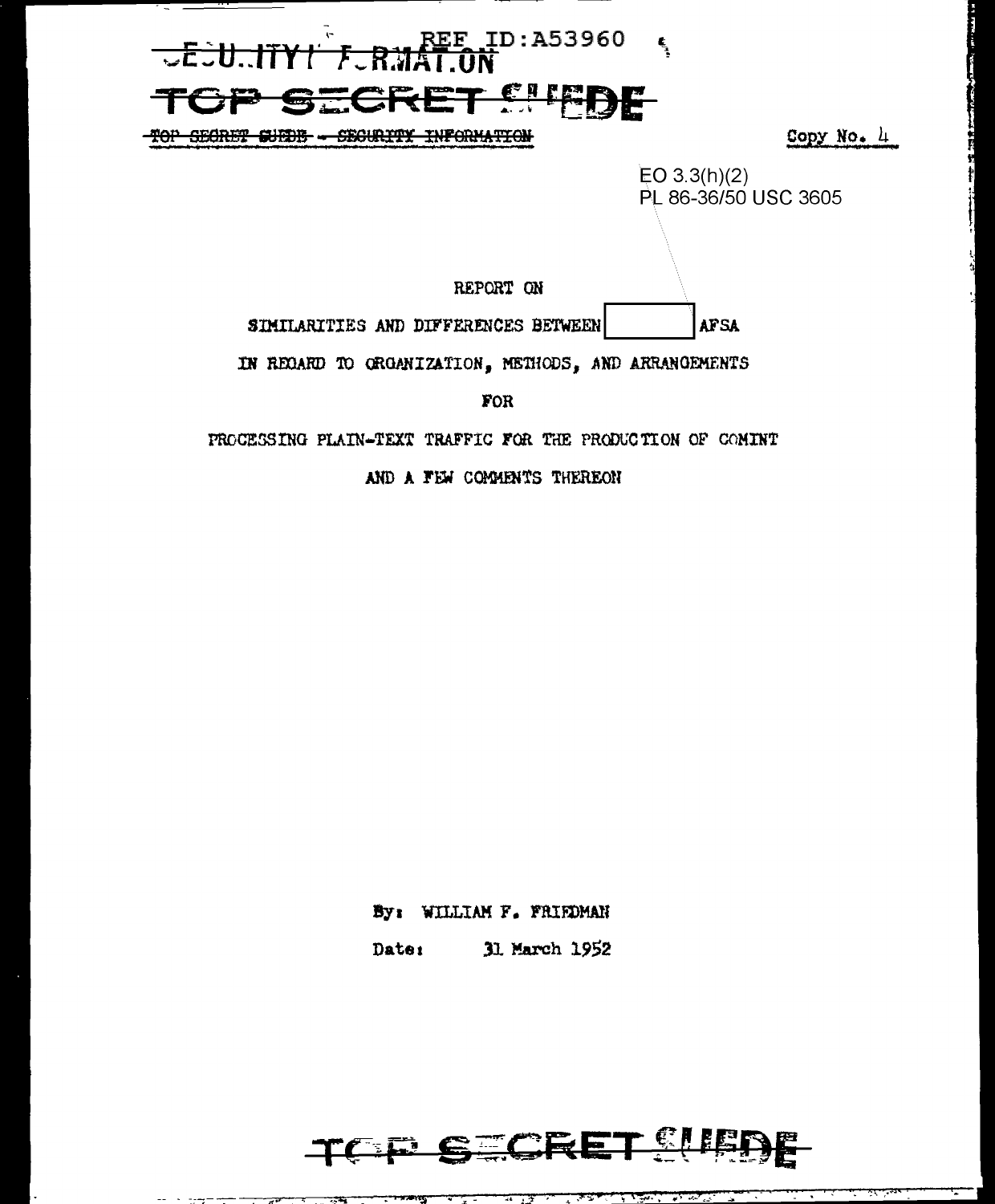

AND A FEW COMMENTS THEREON

By: WILLIAM F. FRIEDMAN

31 March 1952 Date:

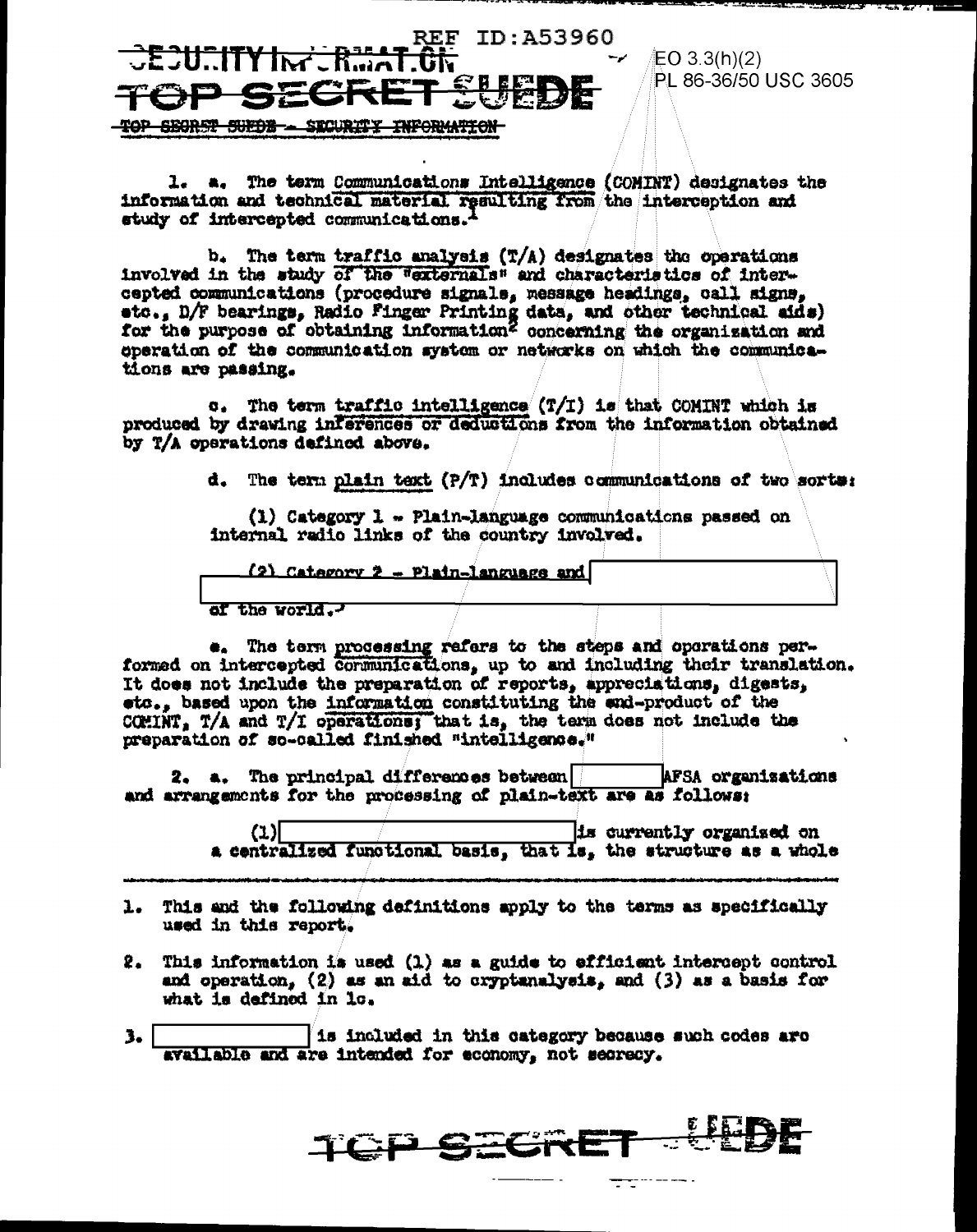

EO 3.3(h)(2) PL 86-36/50 USC 3605

1. a. The term Communications Intelligence (COMINT) designates the information and technical material resulting from the interception and study of intercepted communications.<sup>1</sup>

b. The term traffic analysis (T/A) designates the operations involved in the study of the "externals" and characteristics of intercepted communications (procedure signals, message headings, call signs, sto., D/F bearings, Radio Finger Printing data, and other technical aids) for the purpose of obtaining information<sup>2</sup> concerning the organisation and eperation of the communication system or networks on which the communications are passing.

The term traffic intelligence  $(T/T)$  is that COMINT which is  $\sigma$ . produced by drawing interences or deductions from the information obtained by T/A operations defined above.

d. The term plain text (P/T) includes communications of two sorts:

 $(1)$  Category 1 - Plain-language communications passed on internal radio links of the country involved.

(2) Category 2 - Plain-language and of the world.

e. The term processing refers to the steps and operations performed on intercepted communications, up to and including their translation. It does not include the preparation of reports, appreciations, digests, etc., based upon the information constituting the end-product of the COMINT, T/A and T/I operations; that is, the term does not include the preparation of so-called finished "intelligence."

2. a. The principal differences between AFSA organizations and arrangements for the processing of plain-text are as follows:

> $(1)$ is currently organised on a centralized functional basis, that is, the structure as a whole

- 1. This and the following definitions apply to the terms as specifically used in this report.
- $2.$  This information is used (1) as a guide to efficient intercept control and operation,  $(2)$  as an aid to cryptanalysis, and  $(3)$  as a basis for what is defined in lo.
- is included in this category because such codes are з. available and are intended for economy, not secrecy.

TOP SECRE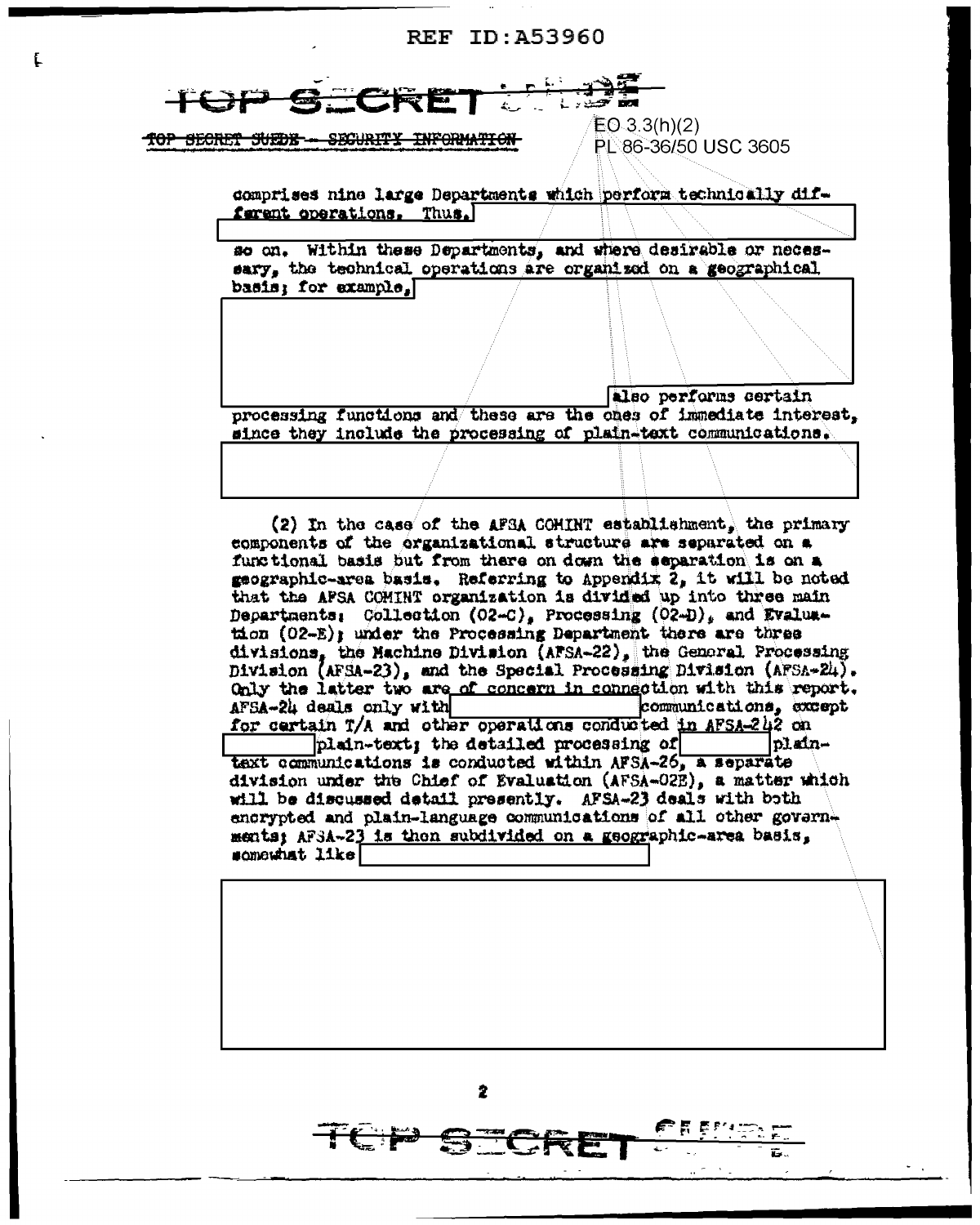## **REF ID: A53960**

TOP SECRET SUEDE - SECURITY INFORMATION

£.

 $EO.3.3(h)(2)$ PL 86-36/50 USC 3605

comprises nine large Departments which perform technically different operations. Thus.

Within these Departments, and where desirable or necesso on. sary, the technical operations are organized on a geographical basis: for example.

also performs certain processing functions and these are the ones of immediate interest. since they include the processing of plain-text communications.

(2) In the case of the AFSA COMINT establishment, the primary components of the organizational structure are separated on a functional basis but from there on down the separation is on a geographic-area basis. Referring to Appendix 2, it will be noted that the APSA COMINT organization is divided up into three main Departments: Collection (O2-C), Processing (O2-D), and Evalua- $\text{tan}$  (02-E); under the Processing Department there are three divisions, the Machine Division (AFSA-22), the General Processing Division (AFSA-23), and the Special Processing Division (AFSA-24). Only the latter two are of concern in connection with this report. AFSA-24 deals only with communications, except for certain T/A and other operations conducted in AFSA-242 on plain-text; the detailed processing of plants of the plants of the communications is conducted within AFSA-26, a separate plaindivision under the Chief of Evaluation (AFSA-02E), a matter which will be discussed detail presently. AFSA-23 deals with both encrypted and plain-language communications of all other governments: AF3A-23 is then subdivided on a geographic-area basis. somewhat like!

2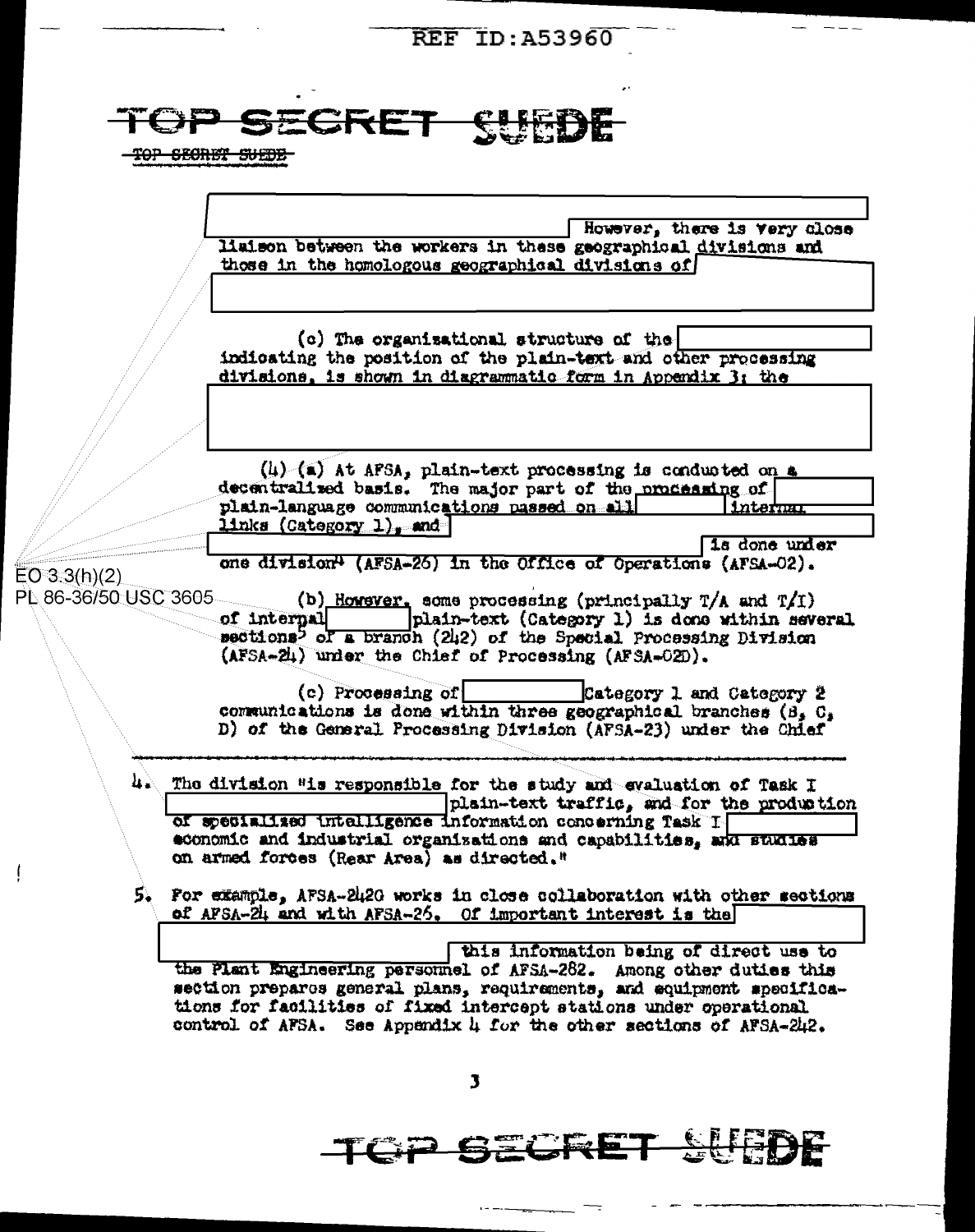**REF ID: A53960** 



<u> SCRE</u>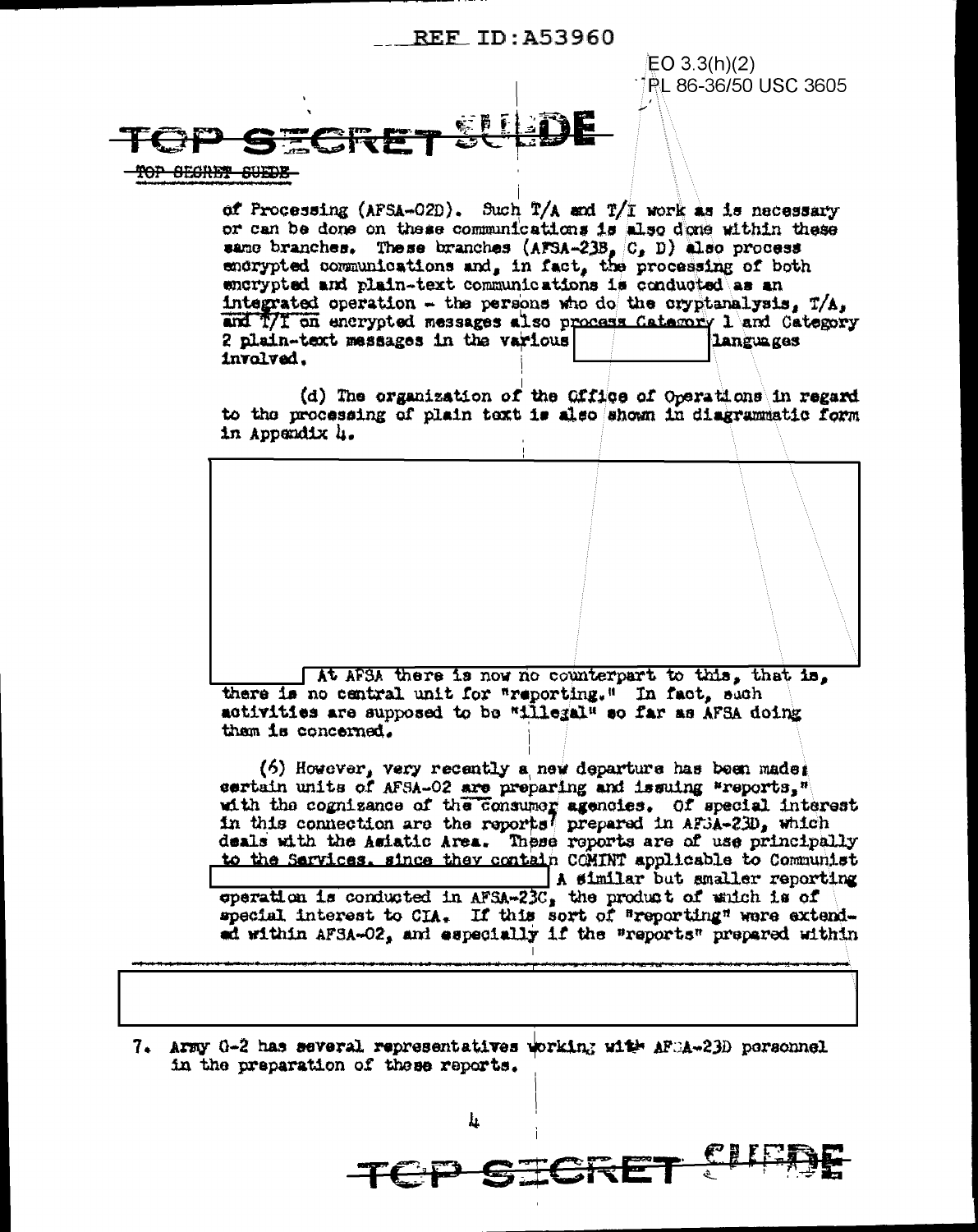## REF TD: 453960

EO 3.3(h)(2) PL 86-36/50 USC 3605

OP SECRET SUEDS

of Processing (AFSA-O2D). Such T/A and T/I work as is necessary or can be done on these communications is also done within these same branches. These branches  $(AFSA-23B, C, D)$  also process endrypted communications and, in fact, the processing of both encrypted and plain-text communications is conducted as an integrated operation - the persons who do the cryptanalysis,  $T/A$ , and T/I on encrypted messages also process Category 1 and Category 2 plain-text messages in the various languages involved.

(d) The organization of the Office of Operations in regard to the processing of plain text is also shown in diagrammatic form in Appendix 4.



[At AFSA there is now no counterpart to this, that is, there is no central unit for "reporting." In fact, such activities are supposed to be "illegal" so far as AFSA doing them is concerned.

(6) However, very recently a new departure has been made: sertain units of AFSA-02 are preparing and issuing "reports," with the cognizance of the consumer agencies. Of special interest<br>in this connection are the reports prepared in AF5A-23D, which<br>deals with the Asiatic Area. These reports are of use principally to the Sarvices, since they contain COMINT applicable to Communist A similar but smaller reporting

operation is conducted in  $AFSA-23C$ , the product of which is of special interest to CIA. If this sort of "reporting" were extendad within AFSA-O2, and especially if the "reports" prepared within

7. Army 0-2 has several representatives working with AFCA-23D personnel in the preparation of these reports.

h.

CP SICRE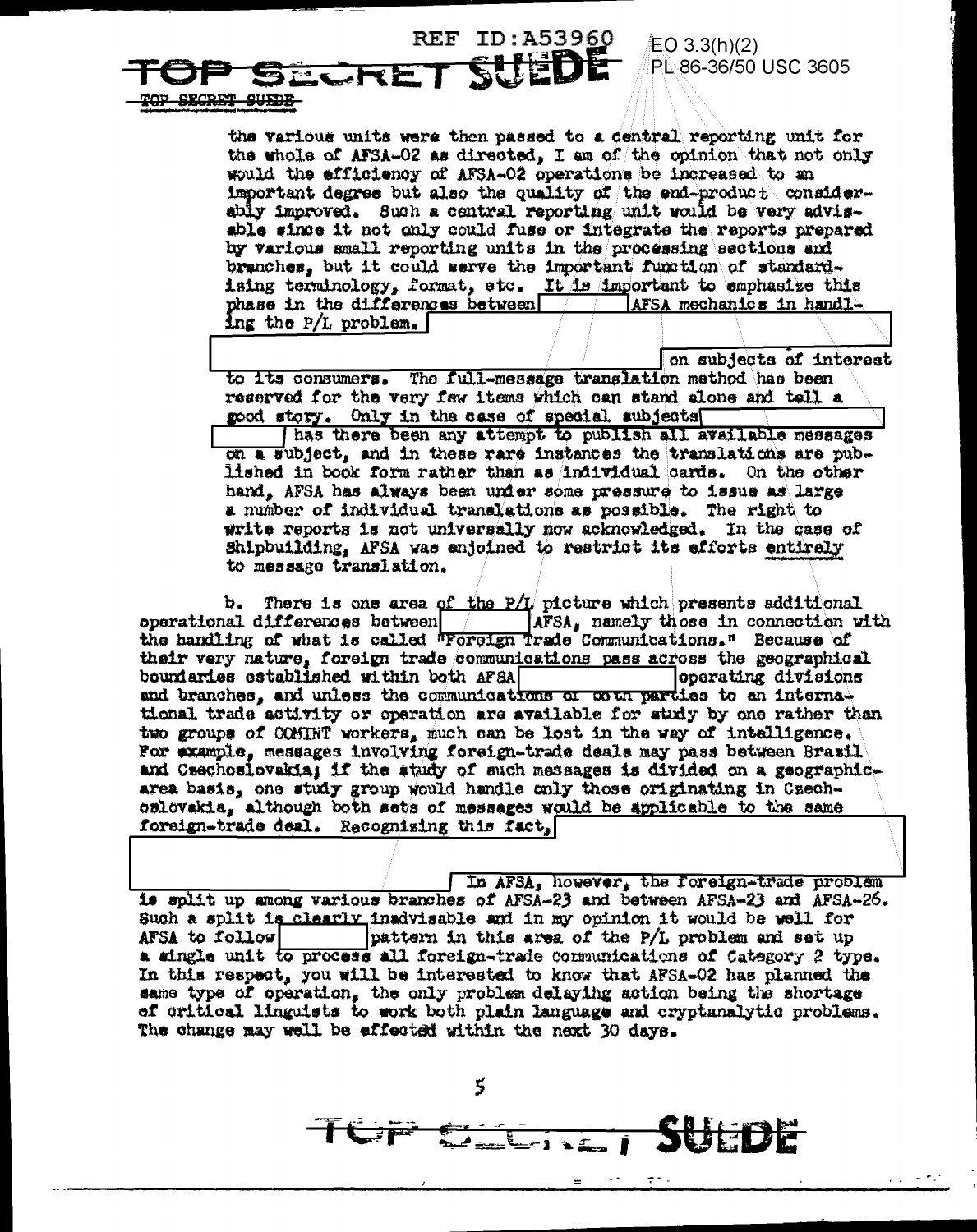#### **REF ID:A53960** EO 3.3(h)(2) PL 86-36/50 USC 3605 SECRE SECRET SUEDE

the various units were then passed to a central reporting unit for the whole of AFSA-02 as directed, I am of the opinion that not only would the efficiency of AFSA-02 operations be increased to an important degree but also the quality of the end-product considerably improved. Such a central reporting unit would be very advisable since it not only could fuse or integrate the reports prepared by various small reporting units in the processing sections and branches, but it could serve the important function of standardising terminology, format, etc. It is important to emphasize this phase in the differences between aFSA mechanics in handling the P/L problem.

on subjects of interest

to its consumers. The full-message translation method has been reserved for the very few items which can stand alone and tell a good story. Only in the case of special subjects

has there been any attempt to publish all available messages on a subject, and in these rare instances the translations are published in book form rather than as individual cards. On the other hand, AFSA has always been under some pressure to issue as large a number of individual translations as possible. The right to write reports is not universally now acknowledged. In the case of Shipbuilding, AFSA was enjoined to restrict its efforts entirely to message translation.

There is one area of the P/L picture which presents additional b.  $\bm{\mathsf{operational}}\,\,\bm{\mathsf{d}}\,\bm{\mathsf{iffered}}$  as  $\bm{\mathsf{bottom}}$ AFSA, namely those in connection with the handling of what is called *Poreign Trade* Communications." Because of their very nature, foreign trade communications pass across the geographical boundaries established within both AFSA operating divisions and branches, and unless the communications of coun parties to an internal tional trade activity or operation are available for study by one rather than two groups of COMINT workers, much can be lost in the way of intelligence. For example, messages involving foreign-trade deals may pass between Brazil and Czechosiovakia; if the study of such messages is divided on a geographicarea basis, one study group would handle only those originating in Czechoslovakia, although both sets of messages would be applicable to the same foreign-trade deal. Recognizing this fact,

In AFSA, however, the foreign-trade problem is split up among various branches of AFSA-23 and between AFSA-23 and AFSA-26. Such a split is clearly inadvisable and in my opinion it would be well for pattern in this area of the P/L problem and set up AFSA to follow a single unit to process all foreign-trade communications of Category 2 type. In this respect, you will be interested to know that AFSA-02 has nlanned the same type of operation, the only problem delaying action being the shortage of critical linguists to work both plain language and cryptanalytic problems. The change may well be effected within the next 30 days.

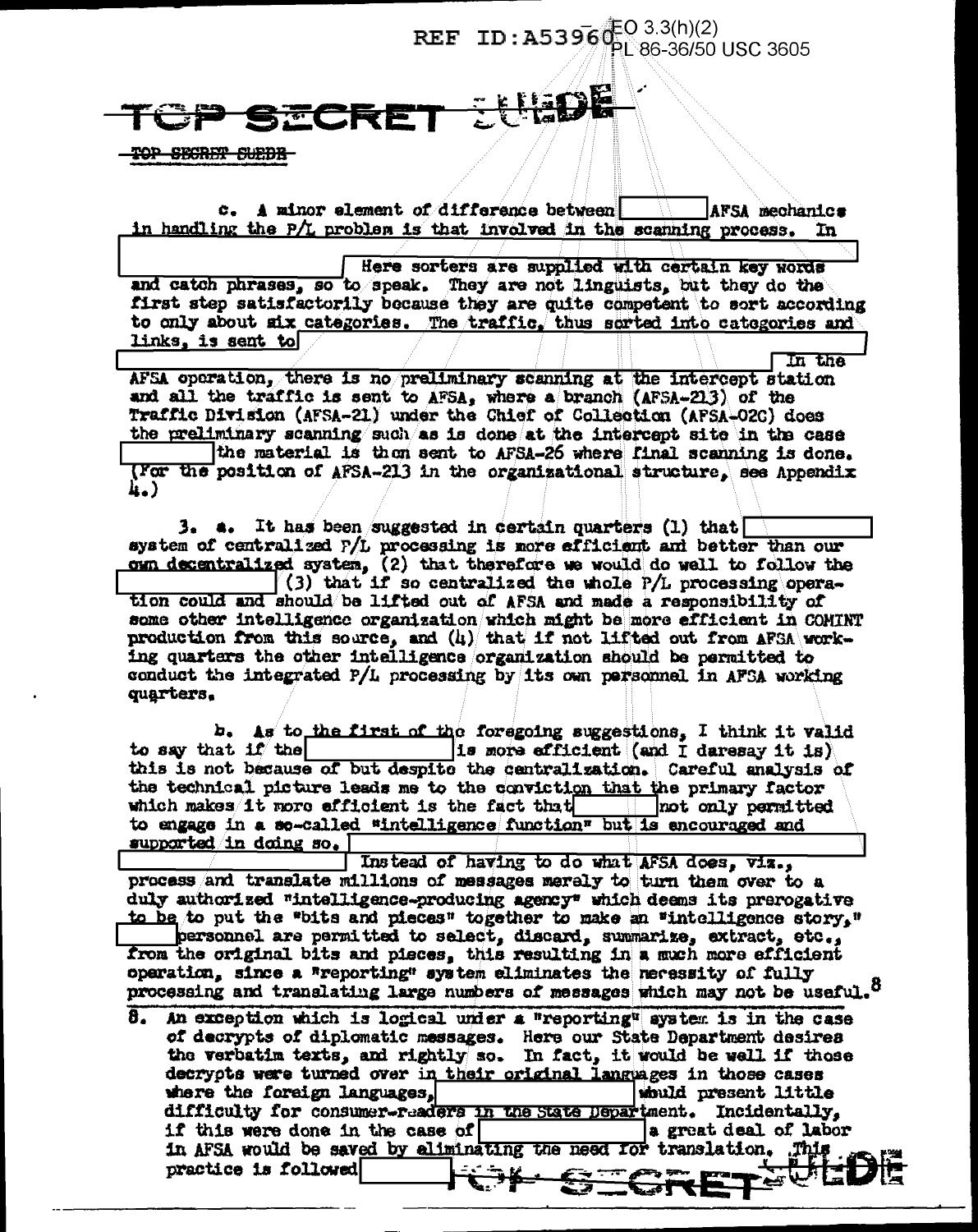# **REF** ID: A5396<sup>(EO 3.3(h)(2)</sup><br>PL 86-36/50 USC 3605

## <u>thore</u> **FCRET**

<del>TOP SECRET SUEDE-</del>

c. A minor element of difference between AFSA mechanics in handling the P/L problem is that involved in the scanning process. In

Here sorters are supplied with certain key words and catch phrases, so to speak. They are not linguists, but they do the first step satisfactorily because they are quite competent to sort according to only about six categories. The traffic. thus sorted into categories and links. is sent to

In the AFSA operation, there is no preliminary scanning at the intercept station and all the traffic is sent to AFSA, where a branch (AFSA-213) of the Traffic Division (AFSA-21) under the Chief of Collection (AFSA-02C) does the preliminary scanning such as is done at the intercept site in the case the material is then sent to AFSA-26 where final scanning is done. (For the position of AFSA-213 in the organizational structure. see Appendix h.)

**3. a.** It has been suggested in certain quarters (1) that system of centralized P/L processing is more efficient and better than our own decentralized system,  $(2)$  that therefore we would do well to follow the  $(3)$  that if so centralized the whole  $P/I$  processing operation could and should be lifted out of AFSA and made a responsibility of some other intelligence organization which might be more efficient in COMINT production from this source, and  $(l_i)/$  that if not lifted out from AFSA working quarters the other intelligence organization should be permitted to conduct the integrated P/L processing by its own personnel in AFSA working quarters.

b. As to the first of the foregoing suggestions, I think it valid (is more efficient (and I daresay it is) to say that  $1f$  the this is not because of but despite the centralization. Careful analysis of the technical picture leads me to the conviction that the primary factor which makes it wore efficient is the fact that not only paraitted to engage in a so-called "intelligence function" but is encouraged and supported in doing so.

Instead of having to do what AFSA does, viz., process and translate millions of messages merely to turn them over to a duly authorized "intelligence-producing agency" which deems its prerogative to be to put the "bits and pieces" together to make an "intelligence story." personnel are permitted to select, discard, summarize, extract, etc., from the original bits and pieces, this resulting in a much more efficient operation, since a "reporting" system eliminates the necessity of fully processing and translating large numbers of messages which may not be useful.<sup>8</sup>

8. An exception which is logical under a "reporting" system is in the case of decrypts of diplomatic messages. Here our State Department desires the verbatim texts, and rightly so. In fact, it would be well if those decrypts were turned over in their original languages in those cases where the foreign languages, would present little difficulty for consumer-readers in the State Department. Incidentally, if this were done in the case of a great deal of labor in AFSA would be saved by aliminating the need for translation. This practice is followed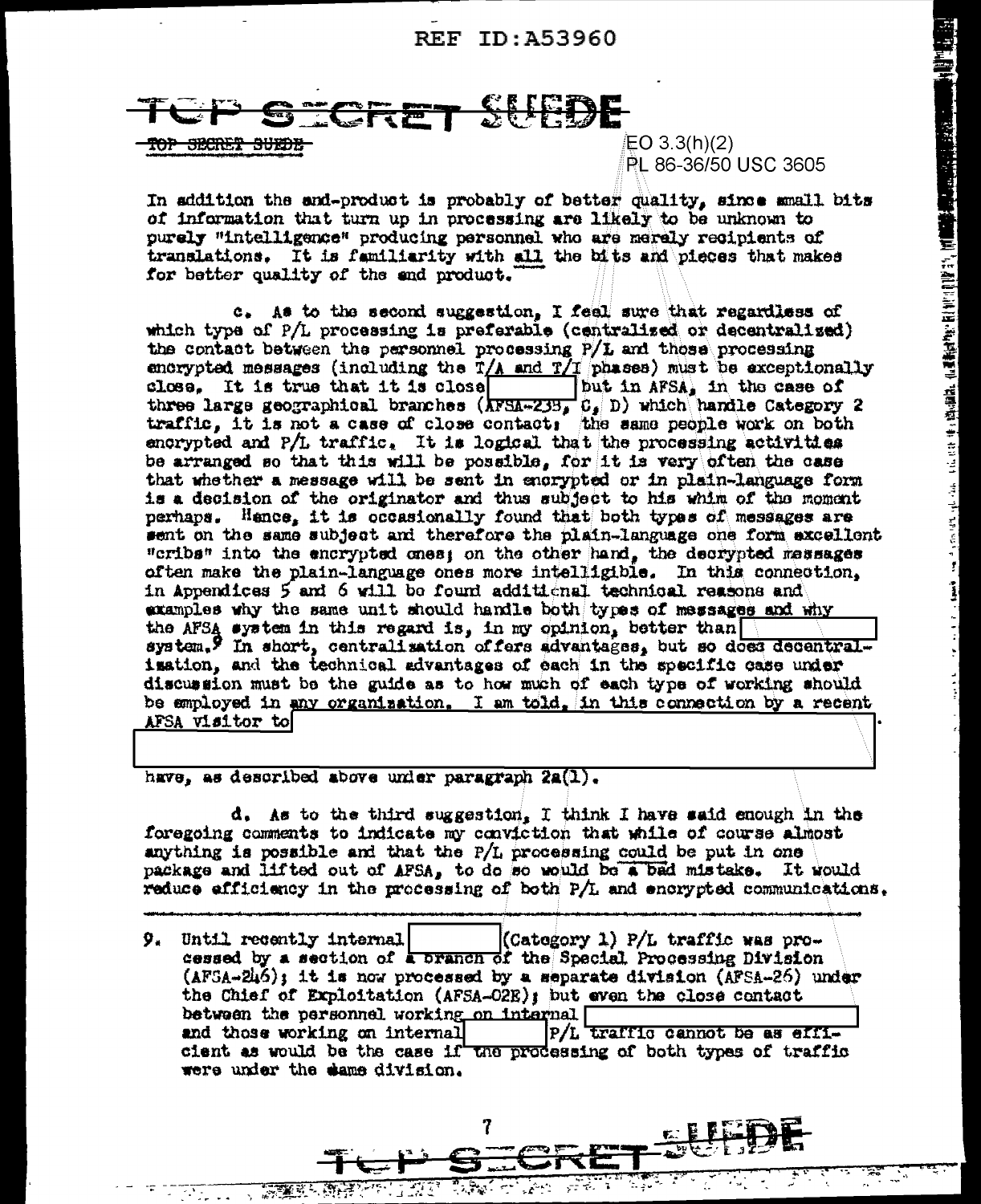### <u>SUEDE</u> CRE

<del>SECRET SUEDI</del>

EO 3.3(h)(2) PL 86-36/50 USC 3605 ■ Police Protection の Protection は Market Protection は Market Protection Adventure Protection Adventure Protection

 $\frac{1}{2}$  ,  $\frac{1}{2}$  ,  $\frac{1}{2}$  ,  $\frac{1}{2}$  ,  $\frac{1}{2}$  ,  $\frac{1}{2}$ 

In addition the and-product is probably of better quality, since small bits of information that turn up in processing are likely to be unknown to purely "intelligence" producing personnel who are merely recipients of translations. It is familiarity with all the bits and pieces that makes for better quality of the end product.

c. As to the second suggestion, I feel sure that regardless of which type of P/L processing is preferable (centralized or decentralized) the contact between the personnel processing P/L and those processing encrypted messages (including the  $T/A$  and  $T/I$  phases) must be exceptionally close. It is true that it is close but in AFSA, in the case of three large geographical branches  $(\overline{\text{AFSA}=233} \ G_s | D)$  which handle Category 2 traffic, it is not a case of close contact; the same people work on both encrypted and P/L traffic. It is logical that the processing activities be arranged so that this will be possible, for it is very often the case that whether a message will be sent in encrypted or in plain-language form is a decision of the originator and thus subject to his whim of the moment perhaps. Hence, it is occasionally found that both types of messages are sent on the same subject and therefore the plain-language one form excellent "cribs" into the encrypted ones; on the other hand, the decrypted massages often make the plain-language ones more intelligible. In this connection, in Appendices 5 and 6 will be found additional technical reasons and examples why the same unit should handle both types of messages and why the AFSA system in this regard is, in my opinion, better than system, I in short, centralisation of fers advantages, but so does decentralisation, and the technical advantages of each in the specific case under discussion must be the guide as to how much of each type of working should be employed in any organization. I am told, in this connection by a recent AFSA visitor to!

have, as described above under paragraph 2a(1).

<u>an Santa</u>

 $d_1$ . As to the third suggestion, I think I have said enough in the foregoing comments to indicate my conviction that while of course almost anything is possible and that the  $P/L$  processing could be put in one package and lifted out of AFSA, to do so would be a bad mistake. It would reduce efficiency in the processing of both  $P/L$  and encrypted communications.

9. Until recently internal (Category 1) P/L traffic was processed by a section of a pranch of the Special Processing Division  $(AFSA-246)$ ; it is now processed by a separate division  $(AFSA-26)$  under the Chief of Exploitation (AFSA-O2E); but even the close contact between the personnel working on internal and those working on internal P/L traffic cannot be as efficient as would be the case if the processing of both types of traffic were under the dame division.

7

 $\mathcal{L}^{(1)}$  .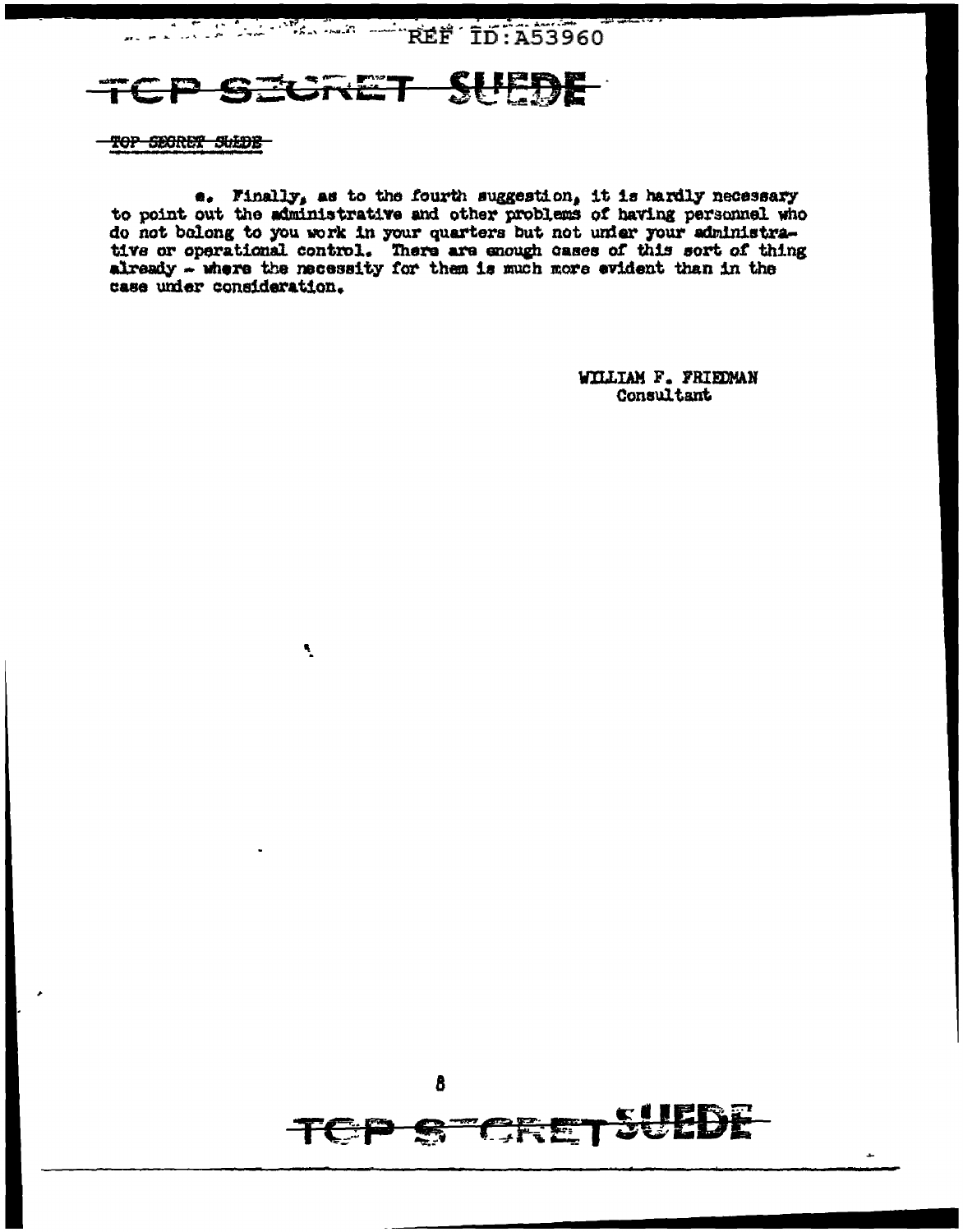REF ID:A53960

## **GRET SUEDE**

 $\mathbf{R}_{\mathbf{q}}$ 

TOP SECRET SUEDE

 $\bullet$ . Finally, as to the fourth suggestion, it is hardly necessary to point out the administrative and other problems of having personnel who do not balong to you work in your quarters but not under your administra-<br>tive or operational control. There are enough cases of this sort of thing<br>already - where the necessity for them is much more evident than in the case under consideration.

> WILLIAM F. FRIEDMAN Consultant

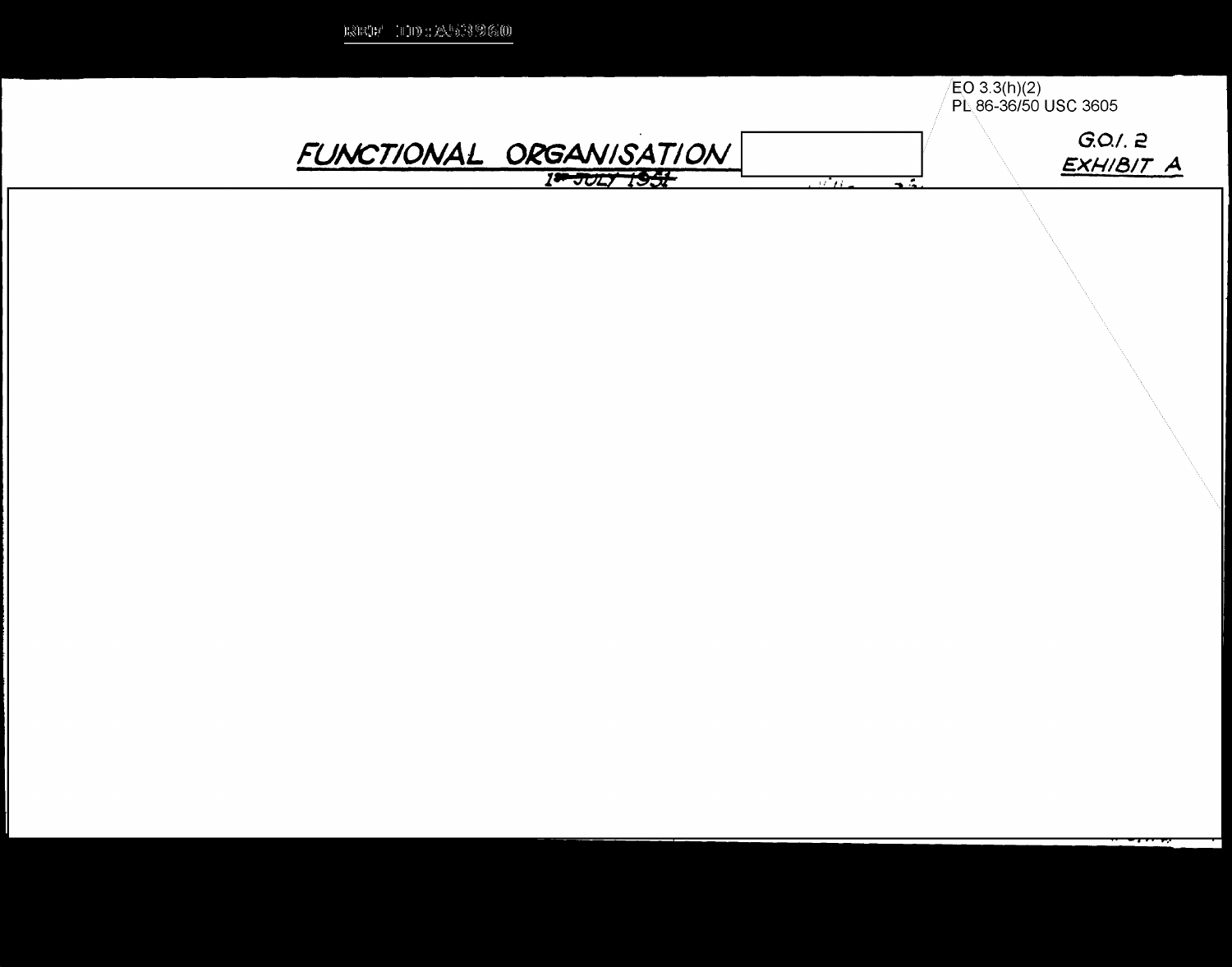| asa ana iliyo na sa saya ay sa sa sasa |                         |                         |                                      |
|----------------------------------------|-------------------------|-------------------------|--------------------------------------|
|                                        |                         |                         | EO 3.3(h)(2)<br>PL 86-36/50 USC 3605 |
|                                        | FUNCTIONAL ORGANISATION |                         | G.O.2<br>EXHIBIT A                   |
|                                        |                         | -yi n<br>$\overline{a}$ |                                      |
|                                        |                         |                         |                                      |
|                                        |                         |                         |                                      |
|                                        |                         |                         |                                      |

 $m2m^2$  and  $m^2$  and  $m^2$  and  $m^2$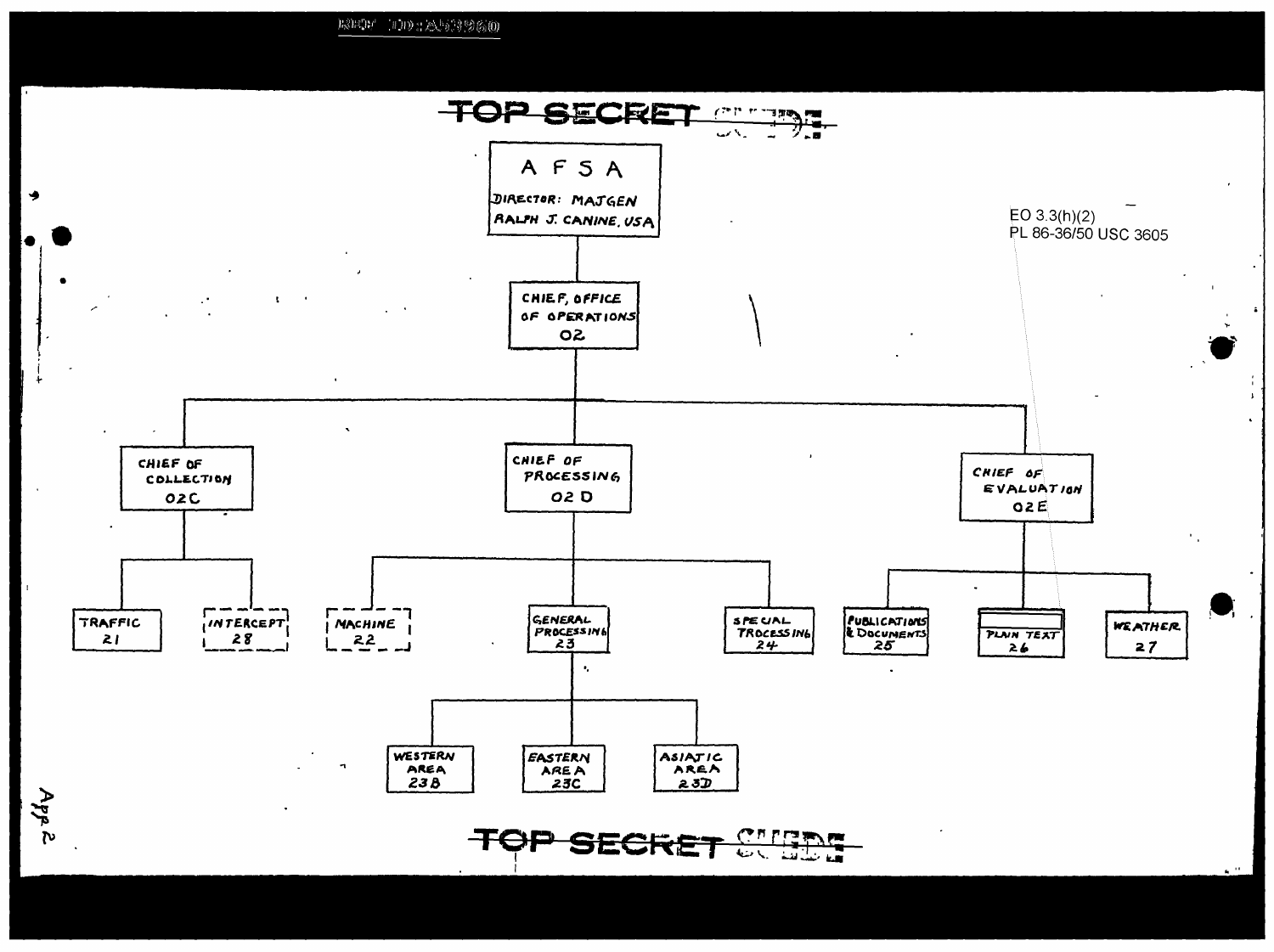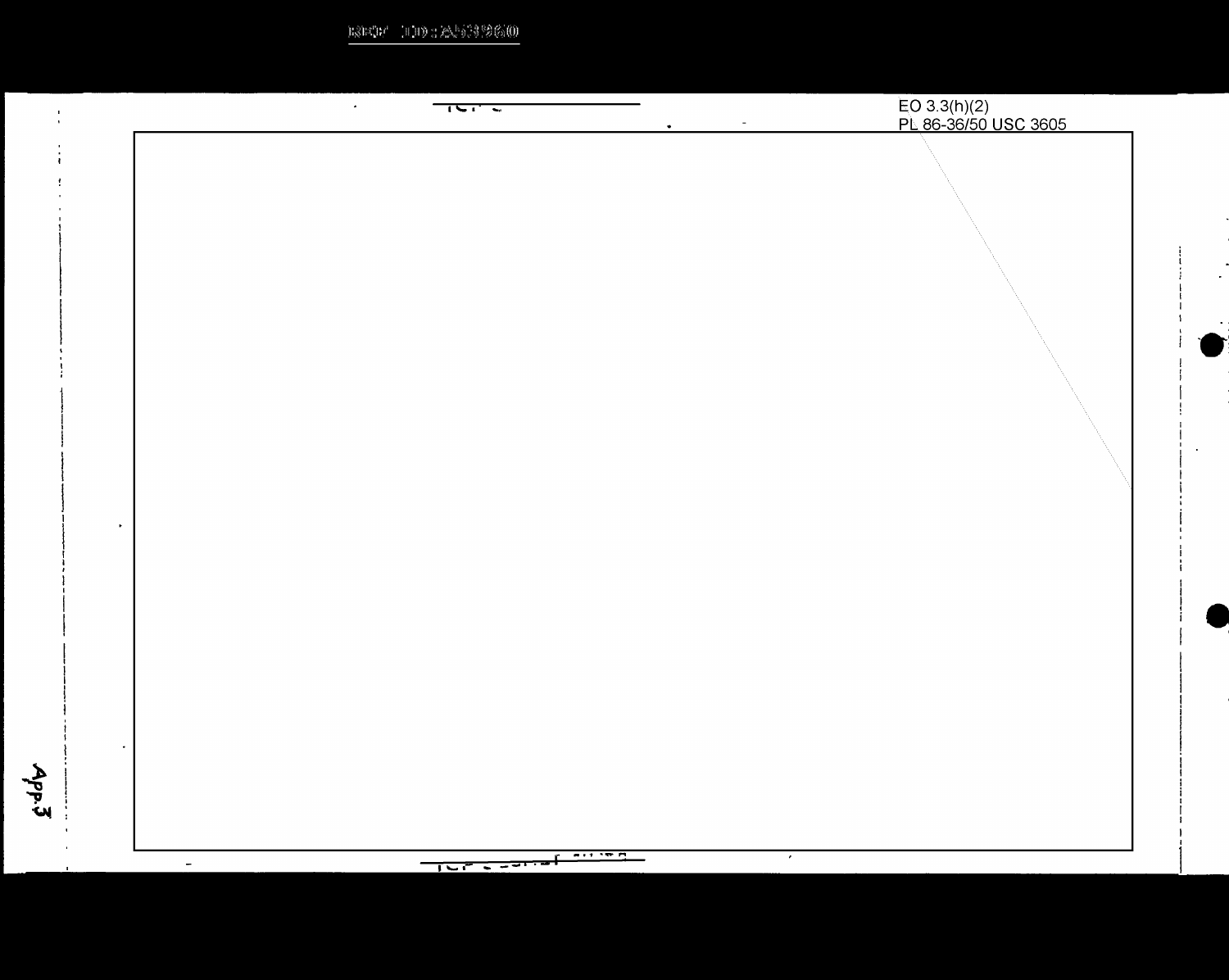$\text{RSE}(\mathbb{R}^n \setminus \mathbb{H}) \oplus \text{RSE}(\mathbb{S}^n \otimes \mathbb{G})$ 

| $\langle \bullet \rangle$ .<br>$\frac{1}{2}$<br>$\bullet$                                | EO 3.3(h)(2)<br>PL 86-36/50 USC 3605<br>$\sim$ |
|------------------------------------------------------------------------------------------|------------------------------------------------|
|                                                                                          |                                                |
|                                                                                          |                                                |
|                                                                                          |                                                |
|                                                                                          |                                                |
|                                                                                          |                                                |
|                                                                                          |                                                |
|                                                                                          |                                                |
|                                                                                          |                                                |
|                                                                                          |                                                |
|                                                                                          |                                                |
|                                                                                          |                                                |
|                                                                                          |                                                |
|                                                                                          |                                                |
|                                                                                          |                                                |
|                                                                                          |                                                |
|                                                                                          |                                                |
|                                                                                          |                                                |
|                                                                                          |                                                |
|                                                                                          |                                                |
|                                                                                          |                                                |
|                                                                                          |                                                |
|                                                                                          |                                                |
| $\overline{a}$ , $\overline{a}$ , $\overline{a}$ , $\overline{a}$ , $\overline{a}$<br>г. | $\mathcal{A}$                                  |